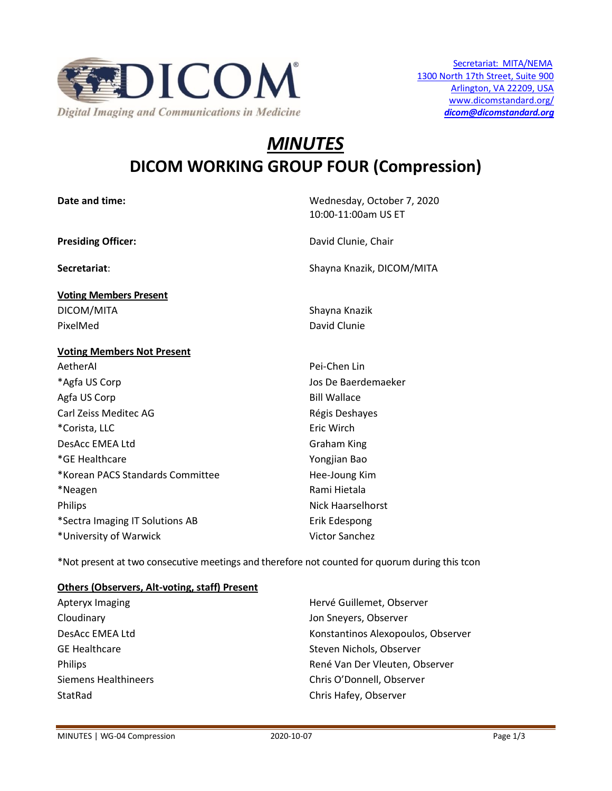

# *MINUTES* **DICOM WORKING GROUP FOUR (Compression)**

| Date and time:                    | Wednesday, October 7, 2020<br>10:00-11:00am US ET |
|-----------------------------------|---------------------------------------------------|
| <b>Presiding Officer:</b>         | David Clunie, Chair                               |
| Secretariat:                      | Shayna Knazik, DICOM/MITA                         |
| <b>Voting Members Present</b>     |                                                   |
| DICOM/MITA                        | Shayna Knazik                                     |
| PixelMed                          | David Clunie                                      |
| <b>Voting Members Not Present</b> |                                                   |
| AetherAI                          | Pei-Chen Lin                                      |
| *Agfa US Corp                     | Jos De Baerdemaeker                               |
| Agfa US Corp                      | <b>Bill Wallace</b>                               |
| Carl Zeiss Meditec AG             | Régis Deshayes                                    |
| *Corista, LLC                     | Eric Wirch                                        |
| DesAcc EMEA Ltd                   | Graham King                                       |
| *GE Healthcare                    | Yongjian Bao                                      |
| *Korean PACS Standards Committee  | Hee-Joung Kim                                     |
| *Neagen                           | Rami Hietala                                      |
| <b>Philips</b>                    | Nick Haarselhorst                                 |
| *Sectra Imaging IT Solutions AB   | Erik Edespong                                     |
| *University of Warwick            | <b>Victor Sanchez</b>                             |

\*Not present at two consecutive meetings and therefore not counted for quorum during this tcon

# **Others (Observers, Alt-voting, staff) Present**

| Apteryx Imaging      | Hervé Guillemet, Observer          |
|----------------------|------------------------------------|
| Cloudinary           | Jon Sneyers, Observer              |
| DesAcc EMEA Ltd      | Konstantinos Alexopoulos, Observer |
| <b>GE Healthcare</b> | Steven Nichols, Observer           |
| Philips              | René Van Der Vleuten, Observer     |
| Siemens Healthineers | Chris O'Donnell, Observer          |
| StatRad              | Chris Hafey, Observer              |
|                      |                                    |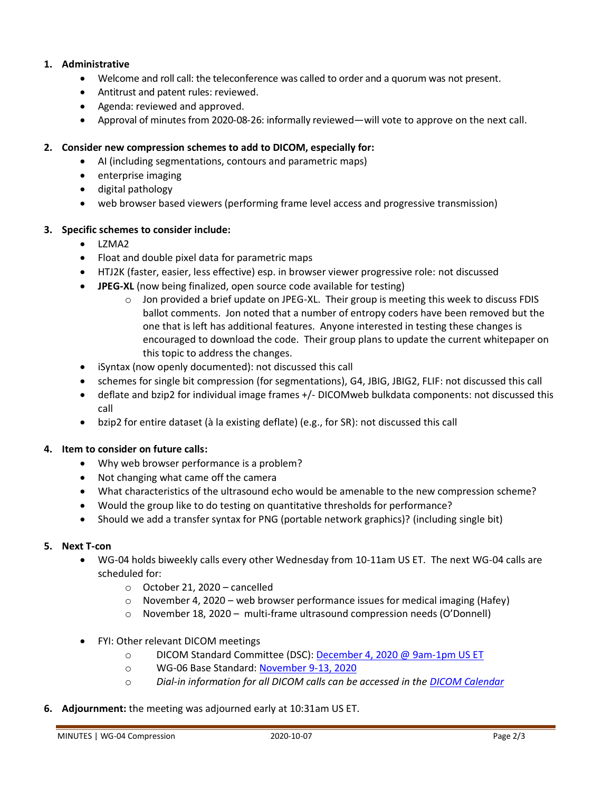# **1. Administrative**

- Welcome and roll call: the teleconference was called to order and a quorum was not present.
- Antitrust and patent rules: reviewed.
- Agenda: reviewed and approved.
- Approval of minutes from 2020-08-26: informally reviewed—will vote to approve on the next call.

## **2. Consider new compression schemes to add to DICOM, especially for:**

- AI (including segmentations, contours and parametric maps)
- enterprise imaging
- digital pathology
- web browser based viewers (performing frame level access and progressive transmission)

## **3. Specific schemes to consider include:**

- LZMA2
- Float and double pixel data for parametric maps
- HTJ2K (faster, easier, less effective) esp. in browser viewer progressive role: not discussed
- **JPEG-XL** (now being finalized, open source code available for testing)
	- o Jon provided a brief update on JPEG-XL. Their group is meeting this week to discuss FDIS ballot comments. Jon noted that a number of entropy coders have been removed but the one that is left has additional features. Anyone interested in testing these changes is encouraged to download the code. Their group plans to update the current whitepaper on this topic to address the changes.
- iSyntax (now openly documented): not discussed this call
- schemes for single bit compression (for segmentations), G4, JBIG, JBIG2, FLIF: not discussed this call
- deflate and bzip2 for individual image frames +/- DICOMweb bulkdata components: not discussed this call
- bzip2 for entire dataset (à la existing deflate) (e.g., for SR): not discussed this call

## **4. Item to consider on future calls:**

- Why web browser performance is a problem?
- Not changing what came off the camera
- What characteristics of the ultrasound echo would be amenable to the new compression scheme?
- Would the group like to do testing on quantitative thresholds for performance?
- Should we add a transfer syntax for PNG (portable network graphics)? (including single bit)

## **5. Next T-con**

- WG-04 holds biweekly calls every other Wednesday from 10-11am US ET. The next WG-04 calls are scheduled for:
	- o October 21, 2020 cancelled
	- $\circ$  November 4, 2020 web browser performance issues for medical imaging (Hafey)
	- o November 18, 2020 multi-frame ultrasound compression needs (O'Donnell)
- FYI: Other relevant DICOM meetings
	- o DICOM Standard Committee (DSC): [December 4, 2020 @ 9am-1pm US ET](http://workspaces-old.nema.org/dicom/Lists/Calendar/DispForm.aspx?ID=4045&Source=http%3A%2F%2Fworkspaces%2Dold%2Enema%2Eorg%2Fdicom%2FLists%2FCalendar%2Fcalendar%2Easpx)
	- o WG-06 Base Standard[: November 9-13, 2020](http://workspaces-old.nema.org/dicom/Lists/Calendar/DispForm.aspx?ID=3510&Source=http%3A%2F%2Fworkspaces%2Dold%2Enema%2Eorg%2Fdicom%2FLists%2FCalendar%2Fcalendar%2Easpx)
	- o *Dial-in information for all DICOM calls can be accessed in the [DICOM Calendar](http://workspaces-old.nema.org/dicom/Lists/Calendar/calendar.aspx)*
- **6. Adjournment:** the meeting was adjourned early at 10:31am US ET.